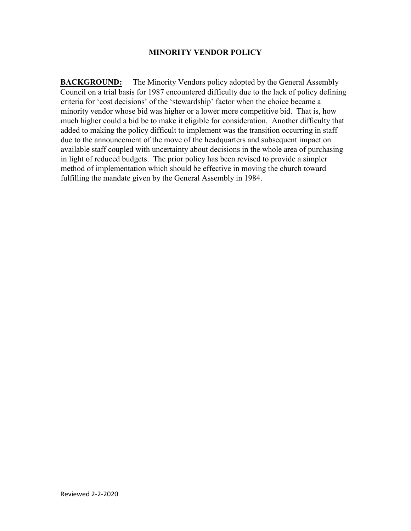## **MINORITY VENDOR POLICY**

**BACKGROUND:** The Minority Vendors policy adopted by the General Assembly Council on a trial basis for 1987 encountered difficulty due to the lack of policy defining criteria for 'cost decisions' of the 'stewardship' factor when the choice became a minority vendor whose bid was higher or a lower more competitive bid. That is, how much higher could a bid be to make it eligible for consideration. Another difficulty that added to making the policy difficult to implement was the transition occurring in staff due to the announcement of the move of the headquarters and subsequent impact on available staff coupled with uncertainty about decisions in the whole area of purchasing in light of reduced budgets. The prior policy has been revised to provide a simpler method of implementation which should be effective in moving the church toward fulfilling the mandate given by the General Assembly in 1984.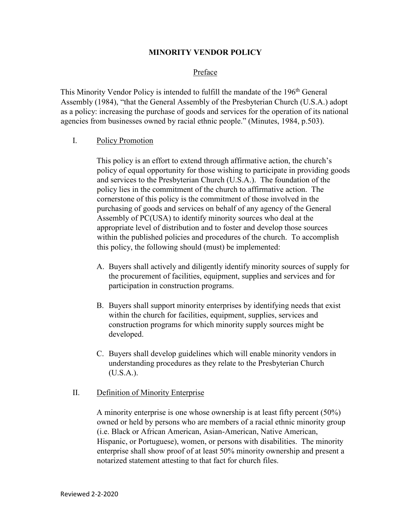## **MINORITY VENDOR POLICY**

### Preface

This Minority Vendor Policy is intended to fulfill the mandate of the 196<sup>th</sup> General Assembly (1984), "that the General Assembly of the Presbyterian Church (U.S.A.) adopt as a policy: increasing the purchase of goods and services for the operation of its national agencies from businesses owned by racial ethnic people." (Minutes, 1984, p.503).

### I. Policy Promotion

This policy is an effort to extend through affirmative action, the church's policy of equal opportunity for those wishing to participate in providing goods and services to the Presbyterian Church (U.S.A.). The foundation of the policy lies in the commitment of the church to affirmative action. The cornerstone of this policy is the commitment of those involved in the purchasing of goods and services on behalf of any agency of the General Assembly of PC(USA) to identify minority sources who deal at the appropriate level of distribution and to foster and develop those sources within the published policies and procedures of the church. To accomplish this policy, the following should (must) be implemented:

- A. Buyers shall actively and diligently identify minority sources of supply for the procurement of facilities, equipment, supplies and services and for participation in construction programs.
- B. Buyers shall support minority enterprises by identifying needs that exist within the church for facilities, equipment, supplies, services and construction programs for which minority supply sources might be developed.
- C. Buyers shall develop guidelines which will enable minority vendors in understanding procedures as they relate to the Presbyterian Church (U.S.A.).

### II. Definition of Minority Enterprise

A minority enterprise is one whose ownership is at least fifty percent (50%) owned or held by persons who are members of a racial ethnic minority group (i.e. Black or African American, Asian-American, Native American, Hispanic, or Portuguese), women, or persons with disabilities. The minority enterprise shall show proof of at least 50% minority ownership and present a notarized statement attesting to that fact for church files.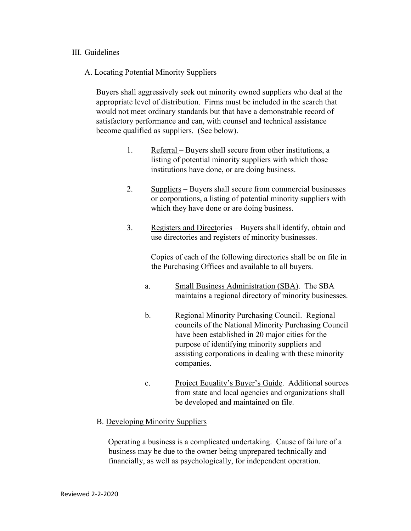### III. Guidelines

## A. Locating Potential Minority Suppliers

Buyers shall aggressively seek out minority owned suppliers who deal at the appropriate level of distribution. Firms must be included in the search that would not meet ordinary standards but that have a demonstrable record of satisfactory performance and can, with counsel and technical assistance become qualified as suppliers. (See below).

- 1. Referral Buyers shall secure from other institutions, a listing of potential minority suppliers with which those institutions have done, or are doing business.
- 2. Suppliers Buyers shall secure from commercial businesses or corporations, a listing of potential minority suppliers with which they have done or are doing business.
- 3. Registers and Directories Buyers shall identify, obtain and use directories and registers of minority businesses.

Copies of each of the following directories shall be on file in the Purchasing Offices and available to all buyers.

- a. Small Business Administration (SBA). The SBA maintains a regional directory of minority businesses.
- b. Regional Minority Purchasing Council. Regional councils of the National Minority Purchasing Council have been established in 20 major cities for the purpose of identifying minority suppliers and assisting corporations in dealing with these minority companies.
- c. Project Equality's Buyer's Guide. Additional sources from state and local agencies and organizations shall be developed and maintained on file.

# B. Developing Minority Suppliers

Operating a business is a complicated undertaking. Cause of failure of a business may be due to the owner being unprepared technically and financially, as well as psychologically, for independent operation.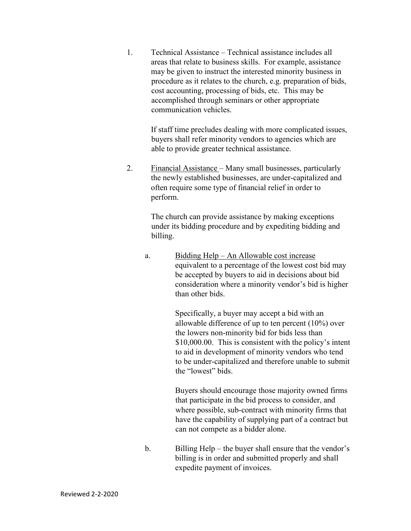1. Technical Assistance – Technical assistance includes all areas that relate to business skills. For example, assistance may be given to instruct the interested minority business in procedure as it relates to the church, e.g. preparation of bids, cost accounting, processing of bids, etc. This may be accomplished through seminars or other appropriate communication vehicles.

> If staff time precludes dealing with more complicated issues, buyers shall refer minority vendors to agencies which are able to provide greater technical assistance.

2. Financial Assistance – Many small businesses, particularly the newly established businesses, are under-capitalized and often require some type of financial relief in order to perform.

> The church can provide assistance by making exceptions under its bidding procedure and by expediting bidding and billing.

a. Bidding Help – An Allowable cost increase equivalent to a percentage of the lowest cost bid may be accepted by buyers to aid in decisions about bid consideration where a minority vendor's bid is higher than other bids.

> Specifically, a buyer may accept a bid with an allowable difference of up to ten percent (10%) over the lowers non-minority bid for bids less than \$10,000.00. This is consistent with the policy's intent to aid in development of minority vendors who tend to be under-capitalized and therefore unable to submit the "lowest" bids.

Buyers should encourage those majority owned firms that participate in the bid process to consider, and where possible, sub-contract with minority firms that have the capability of supplying part of a contract but can not compete as a bidder alone.

b. Billing Help – the buyer shall ensure that the vendor's billing is in order and submitted properly and shall expedite payment of invoices.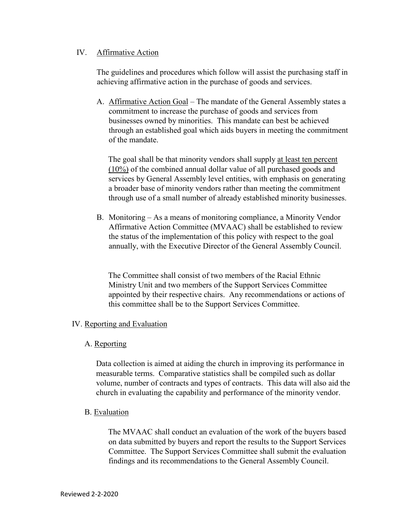## IV. Affirmative Action

The guidelines and procedures which follow will assist the purchasing staff in achieving affirmative action in the purchase of goods and services.

A. Affirmative Action Goal - The mandate of the General Assembly states a commitment to increase the purchase of goods and services from businesses owned by minorities. This mandate can best be achieved through an established goal which aids buyers in meeting the commitment of the mandate.

The goal shall be that minority vendors shall supply at least ten percent (10%) of the combined annual dollar value of all purchased goods and services by General Assembly level entities, with emphasis on generating a broader base of minority vendors rather than meeting the commitment through use of a small number of already established minority businesses.

B. Monitoring – As a means of monitoring compliance, a Minority Vendor Affirmative Action Committee (MVAAC) shall be established to review the status of the implementation of this policy with respect to the goal annually, with the Executive Director of the General Assembly Council.

The Committee shall consist of two members of the Racial Ethnic Ministry Unit and two members of the Support Services Committee appointed by their respective chairs. Any recommendations or actions of this committee shall be to the Support Services Committee.

# IV. Reporting and Evaluation

### A. Reporting

Data collection is aimed at aiding the church in improving its performance in measurable terms. Comparative statistics shall be compiled such as dollar volume, number of contracts and types of contracts. This data will also aid the church in evaluating the capability and performance of the minority vendor.

# B. Evaluation

The MVAAC shall conduct an evaluation of the work of the buyers based on data submitted by buyers and report the results to the Support Services Committee. The Support Services Committee shall submit the evaluation findings and its recommendations to the General Assembly Council.